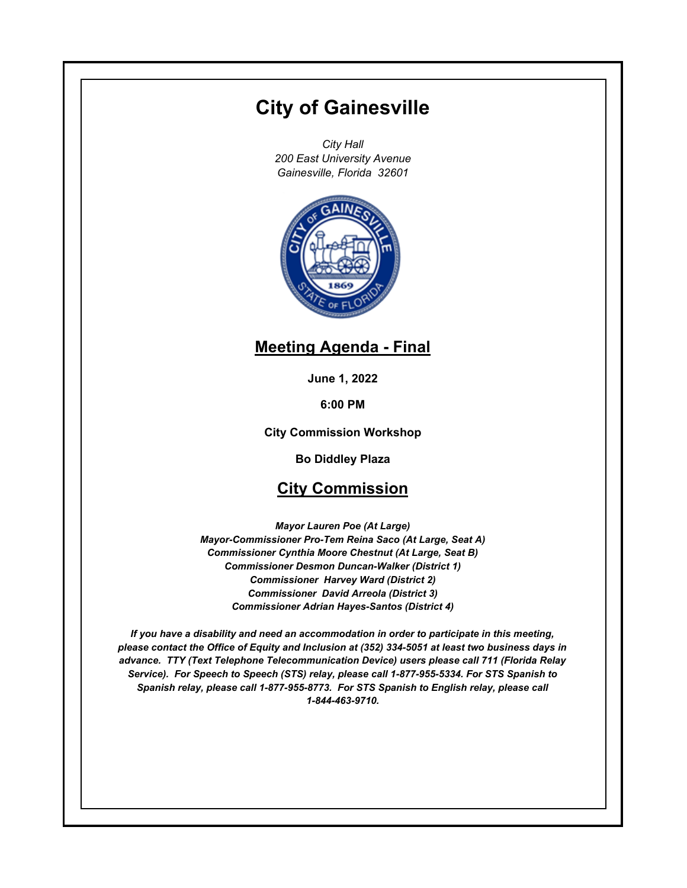# **City of Gainesville**

*City Hall 200 East University Avenue Gainesville, Florida 32601*



# **Meeting Agenda - Final**

**June 1, 2022**

**6:00 PM**

**City Commission Workshop**

**Bo Diddley Plaza**

# **City Commission**

*Mayor Lauren Poe (At Large) Mayor-Commissioner Pro-Tem Reina Saco (At Large, Seat A) Commissioner Cynthia Moore Chestnut (At Large, Seat B) Commissioner Desmon Duncan-Walker (District 1) Commissioner Harvey Ward (District 2) Commissioner David Arreola (District 3) Commissioner Adrian Hayes-Santos (District 4)*

*If you have a disability and need an accommodation in order to participate in this meeting, please contact the Office of Equity and Inclusion at (352) 334-5051 at least two business days in advance. TTY (Text Telephone Telecommunication Device) users please call 711 (Florida Relay Service). For Speech to Speech (STS) relay, please call 1-877-955-5334. For STS Spanish to Spanish relay, please call 1-877-955-8773. For STS Spanish to English relay, please call 1-844-463-9710.*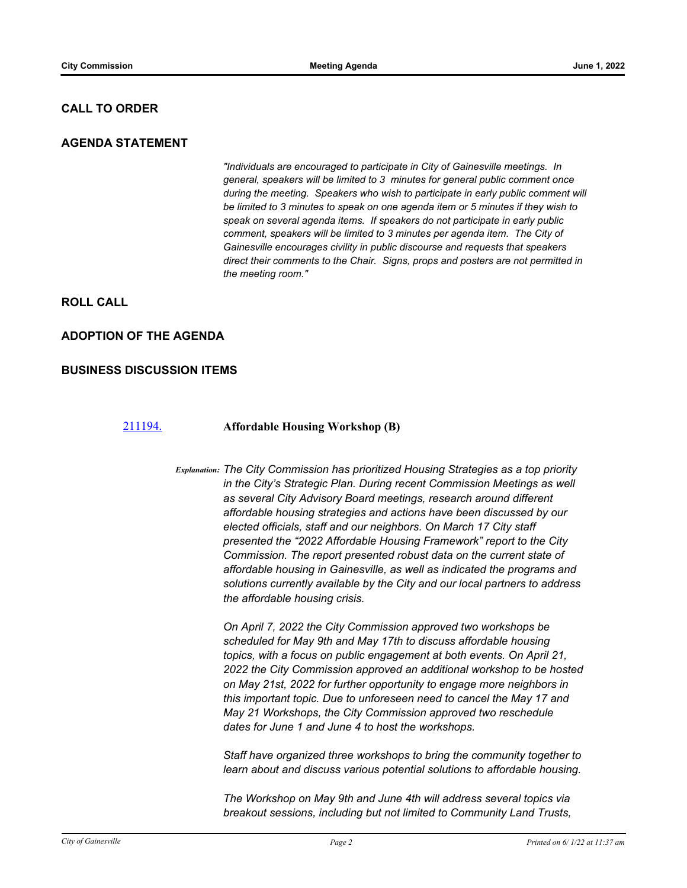## **CALL TO ORDER**

### **AGENDA STATEMENT**

*"Individuals are encouraged to participate in City of Gainesville meetings. In general, speakers will be limited to 3 minutes for general public comment once during the meeting. Speakers who wish to participate in early public comment will be limited to 3 minutes to speak on one agenda item or 5 minutes if they wish to speak on several agenda items. If speakers do not participate in early public comment, speakers will be limited to 3 minutes per agenda item. The City of Gainesville encourages civility in public discourse and requests that speakers direct their comments to the Chair. Signs, props and posters are not permitted in the meeting room."*

## **ROLL CALL**

## **ADOPTION OF THE AGENDA**

#### **BUSINESS DISCUSSION ITEMS**

#### [211194.](http://gainesville.legistar.com/gateway.aspx?m=l&id=/matter.aspx?key=33976) **Affordable Housing Workshop (B)**

*Explanation: The City Commission has prioritized Housing Strategies as a top priority in the City's Strategic Plan. During recent Commission Meetings as well as several City Advisory Board meetings, research around different affordable housing strategies and actions have been discussed by our elected officials, staff and our neighbors. On March 17 City staff presented the "2022 Affordable Housing Framework" report to the City Commission. The report presented robust data on the current state of affordable housing in Gainesville, as well as indicated the programs and solutions currently available by the City and our local partners to address the affordable housing crisis.*

> *On April 7, 2022 the City Commission approved two workshops be scheduled for May 9th and May 17th to discuss affordable housing topics, with a focus on public engagement at both events. On April 21, 2022 the City Commission approved an additional workshop to be hosted on May 21st, 2022 for further opportunity to engage more neighbors in this important topic. Due to unforeseen need to cancel the May 17 and May 21 Workshops, the City Commission approved two reschedule dates for June 1 and June 4 to host the workshops.*

> *Staff have organized three workshops to bring the community together to learn about and discuss various potential solutions to affordable housing.*

*The Workshop on May 9th and June 4th will address several topics via breakout sessions, including but not limited to Community Land Trusts,*